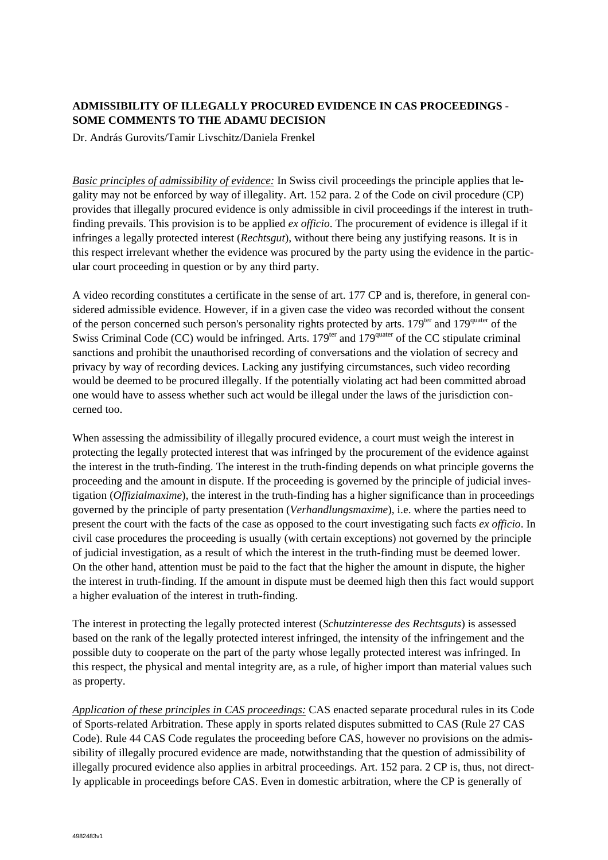## **ADMISSIBILITY OF ILLEGALLY PROCURED EVIDENCE IN CAS PROCEEDINGS - SOME COMMENTS TO THE ADAMU DECISION**

Dr. András Gurovits/Tamir Livschitz/Daniela Frenkel

*Basic principles of admissibility of evidence:* In Swiss civil proceedings the principle applies that legality may not be enforced by way of illegality. Art. 152 para. 2 of the Code on civil procedure (CP) provides that illegally procured evidence is only admissible in civil proceedings if the interest in truthfinding prevails. This provision is to be applied *ex officio*. The procurement of evidence is illegal if it infringes a legally protected interest (*Rechtsgut*), without there being any justifying reasons. It is in this respect irrelevant whether the evidence was procured by the party using the evidence in the particular court proceeding in question or by any third party.

A video recording constitutes a certificate in the sense of art. 177 CP and is, therefore, in general considered admissible evidence. However, if in a given case the video was recorded without the consent of the person concerned such person's personality rights protected by arts. 179<sup>ter</sup> and 179<sup>quater</sup> of the Swiss Criminal Code (CC) would be infringed. Arts.  $179<sup>ter</sup>$  and  $179<sup>quater</sup>$  of the CC stipulate criminal sanctions and prohibit the unauthorised recording of conversations and the violation of secrecy and privacy by way of recording devices. Lacking any justifying circumstances, such video recording would be deemed to be procured illegally. If the potentially violating act had been committed abroad one would have to assess whether such act would be illegal under the laws of the jurisdiction concerned too.

When assessing the admissibility of illegally procured evidence, a court must weigh the interest in protecting the legally protected interest that was infringed by the procurement of the evidence against the interest in the truth-finding. The interest in the truth-finding depends on what principle governs the proceeding and the amount in dispute. If the proceeding is governed by the principle of judicial investigation (*Offizialmaxime*), the interest in the truth-finding has a higher significance than in proceedings governed by the principle of party presentation (*Verhandlungsmaxime*), i.e. where the parties need to present the court with the facts of the case as opposed to the court investigating such facts *ex officio*. In civil case procedures the proceeding is usually (with certain exceptions) not governed by the principle of judicial investigation, as a result of which the interest in the truth-finding must be deemed lower. On the other hand, attention must be paid to the fact that the higher the amount in dispute, the higher the interest in truth-finding. If the amount in dispute must be deemed high then this fact would support a higher evaluation of the interest in truth-finding.

The interest in protecting the legally protected interest (*Schutzinteresse des Rechtsguts*) is assessed based on the rank of the legally protected interest infringed, the intensity of the infringement and the possible duty to cooperate on the part of the party whose legally protected interest was infringed. In this respect, the physical and mental integrity are, as a rule, of higher import than material values such as property.

*Application of these principles in CAS proceedings:* CAS enacted separate procedural rules in its Code of Sports-related Arbitration. These apply in sports related disputes submitted to CAS (Rule 27 CAS Code). Rule 44 CAS Code regulates the proceeding before CAS, however no provisions on the admissibility of illegally procured evidence are made, notwithstanding that the question of admissibility of illegally procured evidence also applies in arbitral proceedings. Art. 152 para. 2 CP is, thus, not directly applicable in proceedings before CAS. Even in domestic arbitration, where the CP is generally of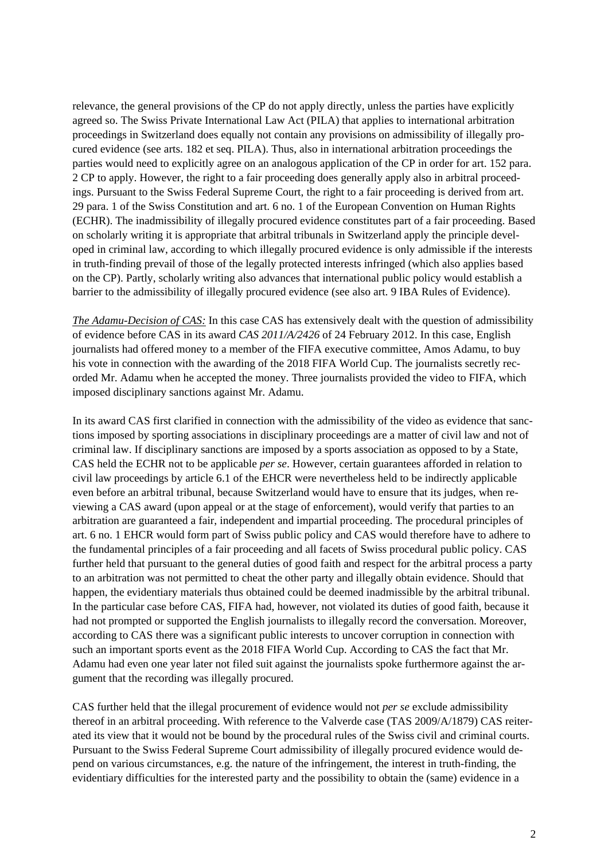relevance, the general provisions of the CP do not apply directly, unless the parties have explicitly agreed so. The Swiss Private International Law Act (PILA) that applies to international arbitration proceedings in Switzerland does equally not contain any provisions on admissibility of illegally procured evidence (see arts. 182 et seq. PILA). Thus, also in international arbitration proceedings the parties would need to explicitly agree on an analogous application of the CP in order for art. 152 para. 2 CP to apply. However, the right to a fair proceeding does generally apply also in arbitral proceedings. Pursuant to the Swiss Federal Supreme Court, the right to a fair proceeding is derived from art. 29 para. 1 of the Swiss Constitution and art. 6 no. 1 of the European Convention on Human Rights (ECHR). The inadmissibility of illegally procured evidence constitutes part of a fair proceeding. Based on scholarly writing it is appropriate that arbitral tribunals in Switzerland apply the principle developed in criminal law, according to which illegally procured evidence is only admissible if the interests in truth-finding prevail of those of the legally protected interests infringed (which also applies based on the CP). Partly, scholarly writing also advances that international public policy would establish a barrier to the admissibility of illegally procured evidence (see also art. 9 IBA Rules of Evidence).

*The Adamu-Decision of CAS:* In this case CAS has extensively dealt with the question of admissibility of evidence before CAS in its award *CAS 2011/A/2426* of 24 February 2012. In this case, English journalists had offered money to a member of the FIFA executive committee, Amos Adamu, to buy his vote in connection with the awarding of the 2018 FIFA World Cup. The journalists secretly recorded Mr. Adamu when he accepted the money. Three journalists provided the video to FIFA, which imposed disciplinary sanctions against Mr. Adamu.

In its award CAS first clarified in connection with the admissibility of the video as evidence that sanctions imposed by sporting associations in disciplinary proceedings are a matter of civil law and not of criminal law. If disciplinary sanctions are imposed by a sports association as opposed to by a State, CAS held the ECHR not to be applicable *per se*. However, certain guarantees afforded in relation to civil law proceedings by article 6.1 of the EHCR were nevertheless held to be indirectly applicable even before an arbitral tribunal, because Switzerland would have to ensure that its judges, when reviewing a CAS award (upon appeal or at the stage of enforcement), would verify that parties to an arbitration are guaranteed a fair, independent and impartial proceeding. The procedural principles of art. 6 no. 1 EHCR would form part of Swiss public policy and CAS would therefore have to adhere to the fundamental principles of a fair proceeding and all facets of Swiss procedural public policy. CAS further held that pursuant to the general duties of good faith and respect for the arbitral process a party to an arbitration was not permitted to cheat the other party and illegally obtain evidence. Should that happen, the evidentiary materials thus obtained could be deemed inadmissible by the arbitral tribunal. In the particular case before CAS, FIFA had, however, not violated its duties of good faith, because it had not prompted or supported the English journalists to illegally record the conversation. Moreover, according to CAS there was a significant public interests to uncover corruption in connection with such an important sports event as the 2018 FIFA World Cup. According to CAS the fact that Mr. Adamu had even one year later not filed suit against the journalists spoke furthermore against the argument that the recording was illegally procured.

CAS further held that the illegal procurement of evidence would not *per se* exclude admissibility thereof in an arbitral proceeding. With reference to the Valverde case (TAS 2009/A/1879) CAS reiterated its view that it would not be bound by the procedural rules of the Swiss civil and criminal courts. Pursuant to the Swiss Federal Supreme Court admissibility of illegally procured evidence would depend on various circumstances, e.g. the nature of the infringement, the interest in truth-finding, the evidentiary difficulties for the interested party and the possibility to obtain the (same) evidence in a